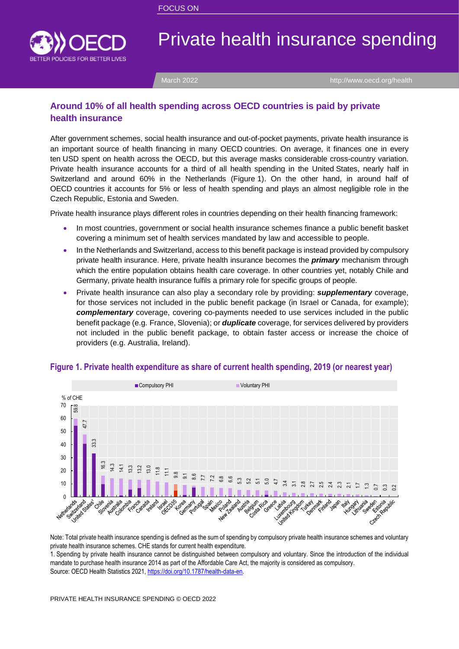

# Private health insurance spending

March 2022 **<http://www.oecd.org/health>** 

### **Around 10% of all health spending across OECD countries is paid by private health insurance**

After government schemes, social health insurance and out-of-pocket payments, private health insurance is an important source of health financing in many OECD countries. On average, it finances one in every ten USD spent on health across the OECD, but this average masks considerable cross-country variation. Private health insurance accounts for a third of all health spending in the United States, nearly half in Switzerland and around 60% in the Netherlands [\(Figure](#page-0-0) 1). On the other hand, in around half of OECD countries it accounts for 5% or less of health spending and plays an almost negligible role in the Czech Republic, Estonia and Sweden.

Private health insurance plays different roles in countries depending on their health financing framework:

- In most countries, government or social health insurance schemes finance a public benefit basket covering a minimum set of health services mandated by law and accessible to people.
- In the Netherlands and Switzerland, access to this benefit package is instead provided by compulsory private health insurance. Here, private health insurance becomes the *primary* mechanism through which the entire population obtains health care coverage. In other countries yet, notably Chile and Germany, private health insurance fulfils a primary role for specific groups of people.
- Private health insurance can also play a secondary role by providing: *supplementary* coverage, for those services not included in the public benefit package (in Israel or Canada, for example); *complementary* coverage, covering co-payments needed to use services included in the public benefit package (e.g. France, Slovenia); or *duplicate* coverage, for services delivered by providers not included in the public benefit package, to obtain faster access or increase the choice of providers (e.g. Australia, Ireland).



#### <span id="page-0-0"></span>**Figure 1. Private health expenditure as share of current health spending, 2019 (or nearest year)**

Note: Total private health insurance spending is defined as the sum of spending by compulsory private health insurance schemes and voluntary private health insurance schemes. CHE stands for current health expenditure.

1. Spending by private health insurance cannot be distinguished between compulsory and voluntary. Since the introduction of the individual mandate to purchase health insurance 2014 as part of the Affordable Care Act, the majority is considered as compulsory.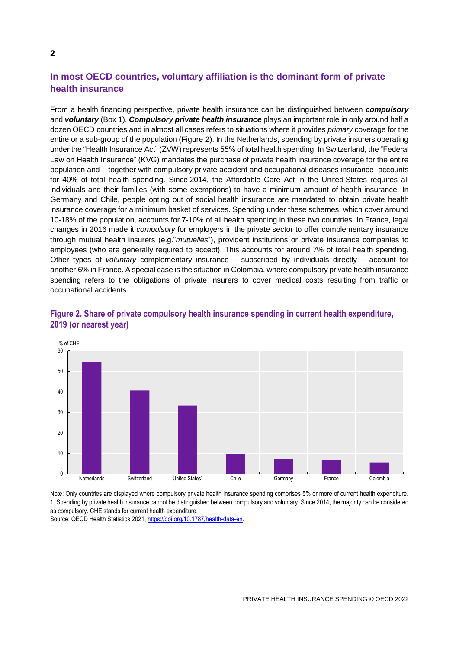## **In most OECD countries, voluntary affiliation is the dominant form of private health insurance**

From a health financing perspective, private health insurance can be distinguished between *compulsory* and *voluntary* [\(Box](#page-2-0) 1). *Compulsory private health insurance* plays an important role in only around half a dozen OECD countries and in almost all cases refers to situations where it provides *primary* coverage for the entire or a sub-group of the population [\(Figure](#page-1-0) 2). In the Netherlands, spending by private insurers operating under the "Health Insurance Act" (ZVW) represents 55% of total health spending. In Switzerland, the "Federal Law on Health Insurance" (KVG) mandates the purchase of private health insurance coverage for the entire population and – together with compulsory private accident and occupational diseases insurance- accounts for 40% of total health spending. Since 2014, the Affordable Care Act in the United States requires all individuals and their families (with some exemptions) to have a minimum amount of health insurance. In Germany and Chile, people opting out of social health insurance are mandated to obtain private health insurance coverage for a minimum basket of services. Spending under these schemes, which cover around 10-18% of the population, accounts for 7-10% of all health spending in these two countries. In France, legal changes in 2016 made it *compulsory* for employers in the private sector to offer complementary insurance through mutual health insurers (e.g."*mutuelles*"), provident institutions or private insurance companies to employees (who are generally required to accept). This accounts for around 7% of total health spending. Other types of *voluntary* complementary insurance – subscribed by individuals directly – account for another 6% in France. A special case is the situation in Colombia, where compulsory private health insurance spending refers to the obligations of private insurers to cover medical costs resulting from traffic or occupational accidents.



#### <span id="page-1-0"></span>**Figure 2. Share of private compulsory health insurance spending in current health expenditure, 2019 (or nearest year)**

Note: Only countries are displayed where compulsory private health insurance spending comprises 5% or more of current health expenditure. 1. Spending by private health insurance cannot be distinguished between compulsory and voluntary. Since 2014, the majority can be considered as compulsory. CHE stands for current health expenditure.

Source: OECD Health Statistics 2021, [https://doi.org/10.1787/health-data-en.](https://doi.org/10.1787/health-data-en)

#### **2**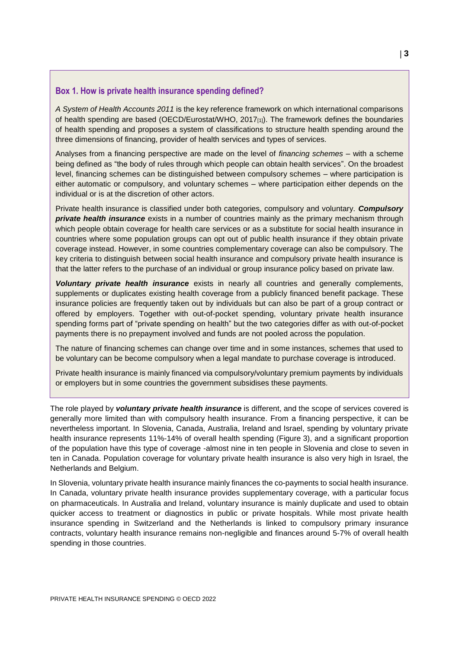#### <span id="page-2-0"></span>**Box 1. How is private health insurance spending defined?**

*A System of Health Accounts 2011* is the key reference framework on which international comparisons of health spending are based (OECD/Eurostat/WHO,  $2017_{[1]}$ ). The framework defines the boundaries of health spending and proposes a system of classifications to structure health spending around the three dimensions of financing, provider of health services and types of services.

Analyses from a financing perspective are made on the level of *financing schemes* – with a scheme being defined as "the body of rules through which people can obtain health services". On the broadest level, financing schemes can be distinguished between compulsory schemes – where participation is either automatic or compulsory, and voluntary schemes – where participation either depends on the individual or is at the discretion of other actors.

Private health insurance is classified under both categories, compulsory and voluntary. *Compulsory*  **private health insurance** exists in a number of countries mainly as the primary mechanism through which people obtain coverage for health care services or as a substitute for social health insurance in countries where some population groups can opt out of public health insurance if they obtain private coverage instead. However, in some countries complementary coverage can also be compulsory. The key criteria to distinguish between social health insurance and compulsory private health insurance is that the latter refers to the purchase of an individual or group insurance policy based on private law.

*Voluntary private health insurance* exists in nearly all countries and generally complements, supplements or duplicates existing health coverage from a publicly financed benefit package. These insurance policies are frequently taken out by individuals but can also be part of a group contract or offered by employers. Together with out-of-pocket spending, voluntary private health insurance spending forms part of "private spending on health" but the two categories differ as with out-of-pocket payments there is no prepayment involved and funds are not pooled across the population.

The nature of financing schemes can change over time and in some instances, schemes that used to be voluntary can be become compulsory when a legal mandate to purchase coverage is introduced.

Private health insurance is mainly financed via compulsory/voluntary premium payments by individuals or employers but in some countries the government subsidises these payments.

The role played by *voluntary private health insurance* is different, and the scope of services covered is generally more limited than with compulsory health insurance. From a financing perspective, it can be nevertheless important. In Slovenia, Canada, Australia, Ireland and Israel, spending by voluntary private health insurance represents 11%-14% of overall health spending [\(Figure](#page-3-0) 3), and a significant proportion of the population have this type of coverage -almost nine in ten people in Slovenia and close to seven in ten in Canada. Population coverage for voluntary private health insurance is also very high in Israel, the Netherlands and Belgium.

In Slovenia, voluntary private health insurance mainly finances the co-payments to social health insurance. In Canada, voluntary private health insurance provides supplementary coverage, with a particular focus on pharmaceuticals. In Australia and Ireland, voluntary insurance is mainly duplicate and used to obtain quicker access to treatment or diagnostics in public or private hospitals. While most private health insurance spending in Switzerland and the Netherlands is linked to compulsory primary insurance contracts, voluntary health insurance remains non-negligible and finances around 5-7% of overall health spending in those countries.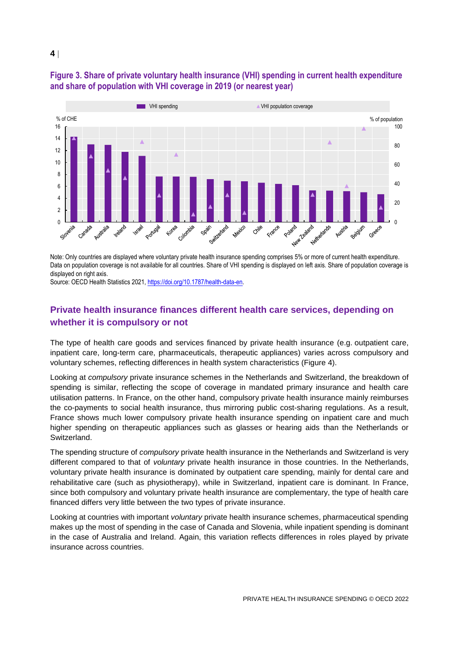

### <span id="page-3-0"></span>**Figure 3. Share of private voluntary health insurance (VHI) spending in current health expenditure and share of population with VHI coverage in 2019 (or nearest year)**

Note: Only countries are displayed where voluntary private health insurance spending comprises 5% or more of current health expenditure. Data on population coverage is not available for all countries. Share of VHI spending is displayed on left axis. Share of population coverage is displayed on right axis.

Source: OECD Health Statistics 2021, [https://doi.org/10.1787/health-data-en.](https://doi.org/10.1787/health-data-en)

## **Private health insurance finances different health care services, depending on whether it is compulsory or not**

The type of health care goods and services financed by private health insurance (e.g. outpatient care, inpatient care, long-term care, pharmaceuticals, therapeutic appliances) varies across compulsory and voluntary schemes, reflecting differences in health system characteristics [\(Figure](#page-4-0) 4).

Looking at *compulsory* private insurance schemes in the Netherlands and Switzerland, the breakdown of spending is similar, reflecting the scope of coverage in mandated primary insurance and health care utilisation patterns. In France, on the other hand, compulsory private health insurance mainly reimburses the co-payments to social health insurance, thus mirroring public cost-sharing regulations. As a result, France shows much lower compulsory private health insurance spending on inpatient care and much higher spending on therapeutic appliances such as glasses or hearing aids than the Netherlands or Switzerland.

The spending structure of *compulsory* private health insurance in the Netherlands and Switzerland is very different compared to that of *voluntary* private health insurance in those countries. In the Netherlands, voluntary private health insurance is dominated by outpatient care spending, mainly for dental care and rehabilitative care (such as physiotherapy), while in Switzerland, inpatient care is dominant. In France, since both compulsory and voluntary private health insurance are complementary, the type of health care financed differs very little between the two types of private insurance.

Looking at countries with important *voluntary* private health insurance schemes, pharmaceutical spending makes up the most of spending in the case of Canada and Slovenia, while inpatient spending is dominant in the case of Australia and Ireland. Again, this variation reflects differences in roles played by private insurance across countries.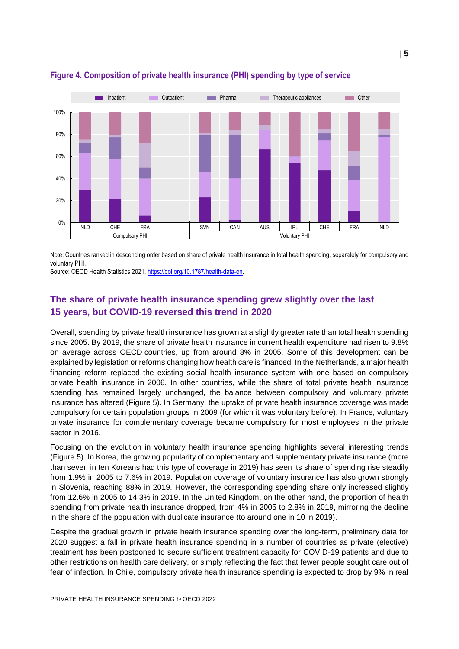

## <span id="page-4-0"></span>**Figure 4. Composition of private health insurance (PHI) spending by type of service**

Note: Countries ranked in descending order based on share of private health insurance in total health spending, separately for compulsory and voluntary PHI.

Source: OECD Health Statistics 2021, [https://doi.org/10.1787/health-data-en.](https://doi.org/10.1787/health-data-en)

## **The share of private health insurance spending grew slightly over the last 15 years, but COVID-19 reversed this trend in 2020**

Overall, spending by private health insurance has grown at a slightly greater rate than total health spending since 2005. By 2019, the share of private health insurance in current health expenditure had risen to 9.8% on average across OECD countries, up from around 8% in 2005. Some of this development can be explained by legislation or reforms changing how health care is financed. In the Netherlands, a major health financing reform replaced the existing social health insurance system with one based on compulsory private health insurance in 2006. In other countries, while the share of total private health insurance spending has remained largely unchanged, the balance between compulsory and voluntary private insurance has altered [\(Figure](#page-5-0) 5). In Germany, the uptake of private health insurance coverage was made compulsory for certain population groups in 2009 (for which it was voluntary before). In France, voluntary private insurance for complementary coverage became compulsory for most employees in the private sector in 2016.

Focusing on the evolution in voluntary health insurance spending highlights several interesting trends [\(Figure](#page-5-0) 5). In Korea, the growing popularity of complementary and supplementary private insurance (more than seven in ten Koreans had this type of coverage in 2019) has seen its share of spending rise steadily from 1.9% in 2005 to 7.6% in 2019. Population coverage of voluntary insurance has also grown strongly in Slovenia, reaching 88% in 2019. However, the corresponding spending share only increased slightly from 12.6% in 2005 to 14.3% in 2019. In the United Kingdom, on the other hand, the proportion of health spending from private health insurance dropped, from 4% in 2005 to 2.8% in 2019, mirroring the decline in the share of the population with duplicate insurance (to around one in 10 in 2019).

Despite the gradual growth in private health insurance spending over the long-term, preliminary data for 2020 suggest a fall in private health insurance spending in a number of countries as private (elective) treatment has been postponed to secure sufficient treatment capacity for COVID-19 patients and due to other restrictions on health care delivery, or simply reflecting the fact that fewer people sought care out of fear of infection. In Chile, compulsory private health insurance spending is expected to drop by 9% in real